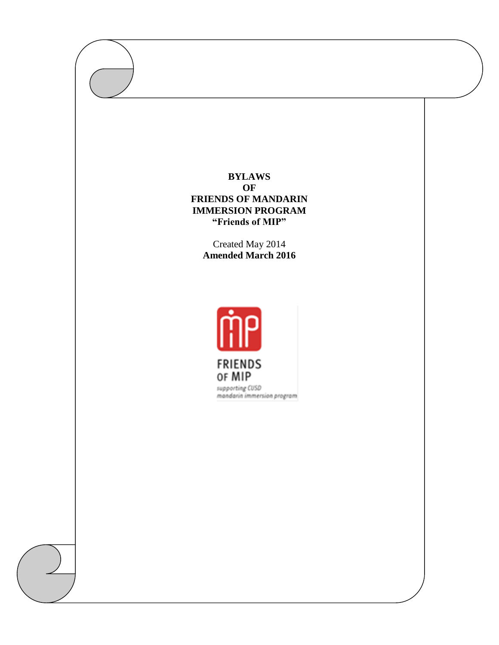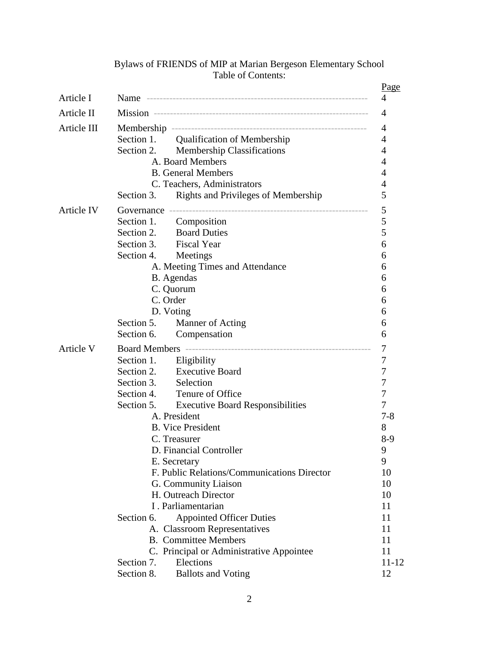|             |                                             |                                             | Page           |  |
|-------------|---------------------------------------------|---------------------------------------------|----------------|--|
| Article I   |                                             |                                             | 4              |  |
| Article II  |                                             |                                             |                |  |
| Article III |                                             |                                             |                |  |
|             |                                             | Section 1. Qualification of Membership      | $\overline{4}$ |  |
|             | Section 2.                                  | <b>Membership Classifications</b>           | 4              |  |
|             |                                             | A. Board Members                            | 4              |  |
|             | <b>B.</b> General Members                   |                                             |                |  |
|             | C. Teachers, Administrators                 |                                             |                |  |
|             | Section 3.                                  | Rights and Privileges of Membership         | 5              |  |
| Article IV  |                                             |                                             |                |  |
|             |                                             | Section 1. Composition                      | 5              |  |
|             |                                             | Section 2. Board Duties                     | 5              |  |
|             |                                             | Section 3. Fiscal Year                      | 6              |  |
|             | Section 4. Meetings                         |                                             | 6              |  |
|             |                                             | A. Meeting Times and Attendance             | 6              |  |
|             | B. Agendas                                  |                                             |                |  |
|             |                                             | C. Quorum                                   | 6              |  |
|             |                                             | C. Order                                    | 6              |  |
|             |                                             | D. Voting                                   | 6              |  |
|             | Section 5.                                  | Manner of Acting                            | 6              |  |
|             | Section 6.                                  | Compensation                                | 6              |  |
| Article V   |                                             |                                             |                |  |
|             |                                             | Section 1. Eligibility                      | 7              |  |
|             |                                             | Section 2. Executive Board                  | 7              |  |
|             | Section 3.                                  | Selection                                   | 7              |  |
|             | Section 4.                                  | Tenure of Office                            | 7              |  |
|             |                                             | Section 5. Executive Board Responsibilities | 7              |  |
|             | A. President                                |                                             | 7-8            |  |
|             | <b>B.</b> Vice President                    |                                             | 8              |  |
|             | C. Treasurer                                |                                             | $8-9$          |  |
|             | D. Financial Controller                     |                                             | 9              |  |
|             | E. Secretary                                |                                             | 9              |  |
|             | F. Public Relations/Communications Director |                                             | 10<br>10       |  |
|             | G. Community Liaison                        |                                             |                |  |
|             | H. Outreach Director                        |                                             | 10<br>11       |  |
|             | I. Parliamentarian                          |                                             |                |  |
|             | Section 6.                                  | <b>Appointed Officer Duties</b>             | 11             |  |
|             |                                             | A. Classroom Representatives                | 11             |  |
|             |                                             | <b>B.</b> Committee Members                 | 11             |  |
|             |                                             | C. Principal or Administrative Appointee    | 11             |  |
|             | Section 7.                                  | Elections                                   | $11 - 12$      |  |
|             | Section 8.                                  | <b>Ballots and Voting</b>                   | 12             |  |

# Bylaws of FRIENDS of MIP at Marian Bergeson Elementary School Table of Contents: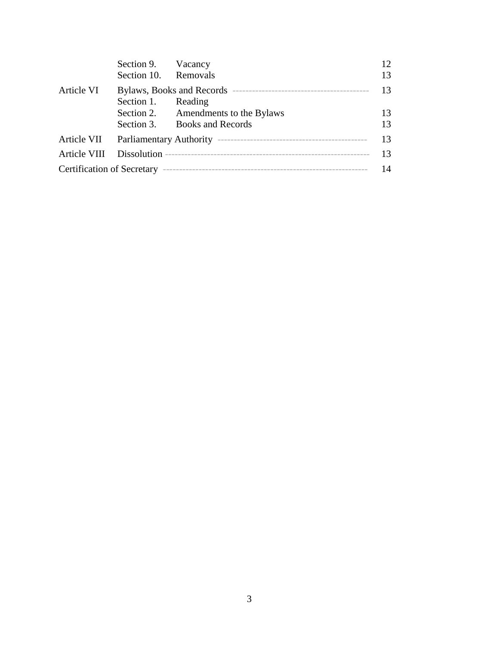|            | Section 9. Vacancy       |                                     | 12 |  |
|------------|--------------------------|-------------------------------------|----|--|
|            | Section 10. Removals     |                                     | 13 |  |
| Article VI | 13<br>Section 1. Reading |                                     |    |  |
|            |                          | Section 2. Amendments to the Bylaws | 13 |  |
|            |                          | Section 3. Books and Records        | 13 |  |
|            |                          |                                     |    |  |
|            |                          |                                     | 13 |  |
|            |                          |                                     |    |  |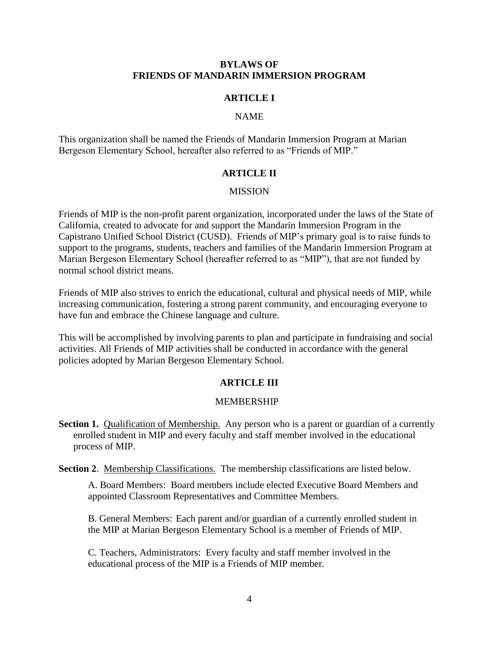### **BYLAWS OF FRIENDS OF MANDARIN IMMERSION PROGRAM**

## **ARTICLE I**

## NAME

This organization shall be named the Friends of Mandarin Immersion Program at Marian Bergeson Elementary School, hereafter also referred to as "Friends of MIP."

#### **ARTICLE II**

#### MISSION

Friends of MIP is the non-profit parent organization, incorporated under the laws of the State of California, created to advocate for and support the Mandarin Immersion Program in the Capistrano Unified School District (CUSD). Friends of MIP's primary goal is to raise funds to support to the programs, students, teachers and families of the Mandarin Immersion Program at Marian Bergeson Elementary School (hereafter referred to as "MIP"), that are not funded by normal school district means.

Friends of MIP also strives to enrich the educational, cultural and physical needs of MIP, while increasing communication, fostering a strong parent community, and encouraging everyone to have fun and embrace the Chinese language and culture.

This will be accomplished by involving parents to plan and participate in fundraising and social activities. All Friends of MIP activities shall be conducted in accordance with the general policies adopted by Marian Bergeson Elementary School.

#### **ARTICLE III**

#### MEMBERSHIP

- **Section 1.** Qualification of Membership. Any person who is a parent or guardian of a currently enrolled student in MIP and every faculty and staff member involved in the educational process of MIP.
- **Section 2.** Membership Classifications. The membership classifications are listed below.

A. Board Members: Board members include elected Executive Board Members and appointed Classroom Representatives and Committee Members.

B. General Members: Each parent and/or guardian of a currently enrolled student in the MIP at Marian Bergeson Elementary School is a member of Friends of MIP.

C. Teachers, Administrators: Every faculty and staff member involved in the educational process of the MIP is a Friends of MIP member.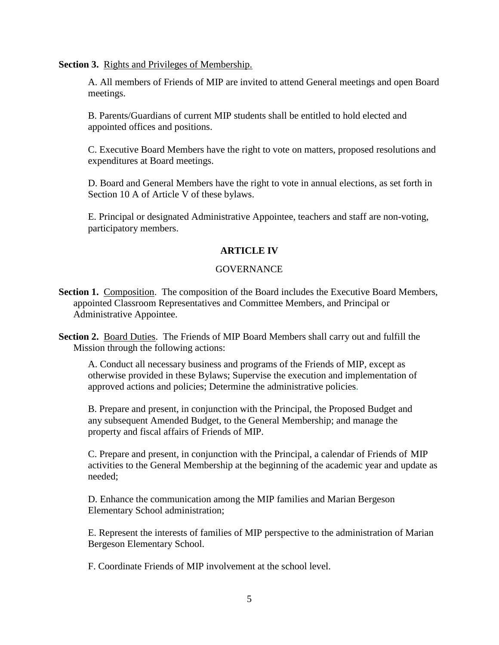**Section 3.** Rights and Privileges of Membership.

A. All members of Friends of MIP are invited to attend General meetings and open Board meetings.

B. Parents/Guardians of current MIP students shall be entitled to hold elected and appointed offices and positions.

C. Executive Board Members have the right to vote on matters, proposed resolutions and expenditures at Board meetings.

D. Board and General Members have the right to vote in annual elections, as set forth in Section 10 A of Article V of these bylaws.

E. Principal or designated Administrative Appointee, teachers and staff are non-voting, participatory members.

# **ARTICLE IV**

## **GOVERNANCE**

- **Section 1.** Composition. The composition of the Board includes the Executive Board Members, appointed Classroom Representatives and Committee Members, and Principal or Administrative Appointee.
- **Section 2.** Board Duties. The Friends of MIP Board Members shall carry out and fulfill the Mission through the following actions:

A. Conduct all necessary business and programs of the Friends of MIP, except as otherwise provided in these Bylaws; Supervise the execution and implementation of approved actions and policies; Determine the administrative policies.

B. Prepare and present, in conjunction with the Principal, the Proposed Budget and any subsequent Amended Budget, to the General Membership; and manage the property and fiscal affairs of Friends of MIP.

C. Prepare and present, in conjunction with the Principal, a calendar of Friends of MIP activities to the General Membership at the beginning of the academic year and update as needed;

D. Enhance the communication among the MIP families and Marian Bergeson Elementary School administration;

E. Represent the interests of families of MIP perspective to the administration of Marian Bergeson Elementary School.

F. Coordinate Friends of MIP involvement at the school level.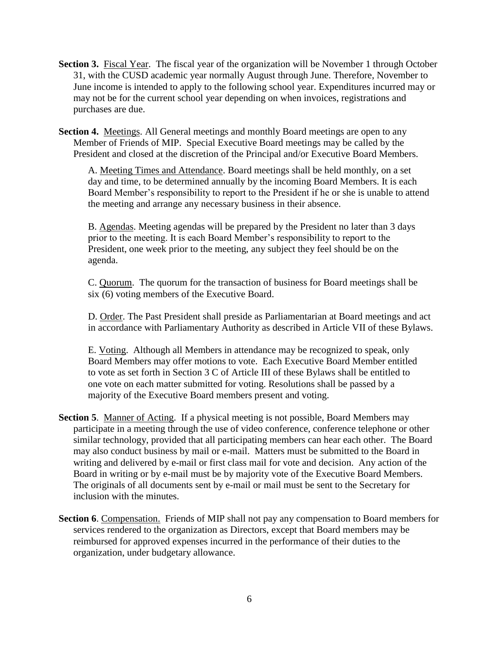Section 3. Fiscal Year. The fiscal year of the organization will be November 1 through October 31, with the CUSD academic year normally August through June. Therefore, November to June income is intended to apply to the following school year. Expenditures incurred may or may not be for the current school year depending on when invoices, registrations and purchases are due.

**Section 4.** Meetings. All General meetings and monthly Board meetings are open to any Member of Friends of MIP. Special Executive Board meetings may be called by the President and closed at the discretion of the Principal and/or Executive Board Members.

A. Meeting Times and Attendance. Board meetings shall be held monthly, on a set day and time, to be determined annually by the incoming Board Members. It is each Board Member's responsibility to report to the President if he or she is unable to attend the meeting and arrange any necessary business in their absence.

B. Agendas. Meeting agendas will be prepared by the President no later than 3 days prior to the meeting. It is each Board Member's responsibility to report to the President, one week prior to the meeting, any subject they feel should be on the agenda.

C. Quorum. The quorum for the transaction of business for Board meetings shall be six (6) voting members of the Executive Board.

D. Order. The Past President shall preside as Parliamentarian at Board meetings and act in accordance with Parliamentary Authority as described in Article VII of these Bylaws.

E. Voting. Although all Members in attendance may be recognized to speak, only Board Members may offer motions to vote. Each Executive Board Member entitled to vote as set forth in Section 3 C of Article III of these Bylaws shall be entitled to one vote on each matter submitted for voting. Resolutions shall be passed by a majority of the Executive Board members present and voting.

- **Section 5**. Manner of Acting. If a physical meeting is not possible, Board Members may participate in a meeting through the use of video conference, conference telephone or other similar technology, provided that all participating members can hear each other. The Board may also conduct business by mail or e-mail. Matters must be submitted to the Board in writing and delivered by e-mail or first class mail for vote and decision. Any action of the Board in writing or by e-mail must be by majority vote of the Executive Board Members. The originals of all documents sent by e-mail or mail must be sent to the Secretary for inclusion with the minutes.
- **Section 6**. Compensation. Friends of MIP shall not pay any compensation to Board members for services rendered to the organization as Directors, except that Board members may be reimbursed for approved expenses incurred in the performance of their duties to the organization, under budgetary allowance.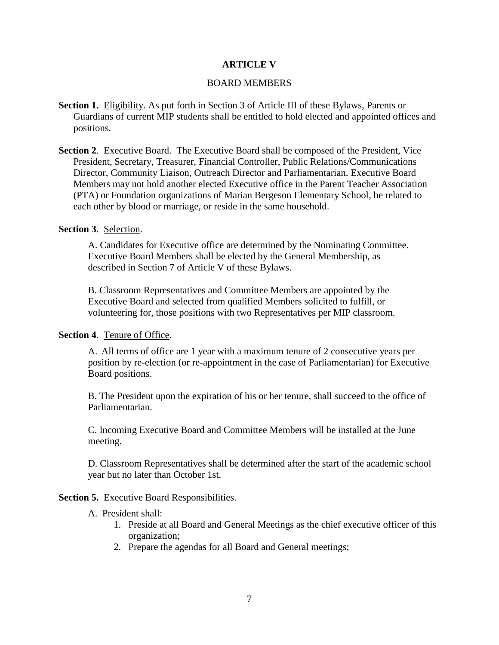## **ARTICLE V**

#### BOARD MEMBERS

- **Section 1.** Eligibility. As put forth in Section 3 of Article III of these Bylaws, Parents or Guardians of current MIP students shall be entitled to hold elected and appointed offices and positions.
- **Section 2**. Executive Board. The Executive Board shall be composed of the President, Vice President, Secretary, Treasurer, Financial Controller, Public Relations/Communications Director, Community Liaison, Outreach Director and Parliamentarian. Executive Board Members may not hold another elected Executive office in the Parent Teacher Association (PTA) or Foundation organizations of Marian Bergeson Elementary School, be related to each other by blood or marriage, or reside in the same household.

#### **Section 3**. Selection.

A. Candidates for Executive office are determined by the Nominating Committee. Executive Board Members shall be elected by the General Membership, as described in Section 7 of Article V of these Bylaws.

B. Classroom Representatives and Committee Members are appointed by the Executive Board and selected from qualified Members solicited to fulfill, or volunteering for, those positions with two Representatives per MIP classroom.

#### **Section 4**. Tenure of Office.

A. All terms of office are 1 year with a maximum tenure of 2 consecutive years per position by re-election (or re-appointment in the case of Parliamentarian) for Executive Board positions.

B. The President upon the expiration of his or her tenure, shall succeed to the office of Parliamentarian.

C. Incoming Executive Board and Committee Members will be installed at the June meeting.

D. Classroom Representatives shall be determined after the start of the academic school year but no later than October 1st.

#### **Section 5.** Executive Board Responsibilities.

- A.President shall:
	- 1. Preside at all Board and General Meetings as the chief executive officer of this organization;
	- 2. Prepare the agendas for all Board and General meetings;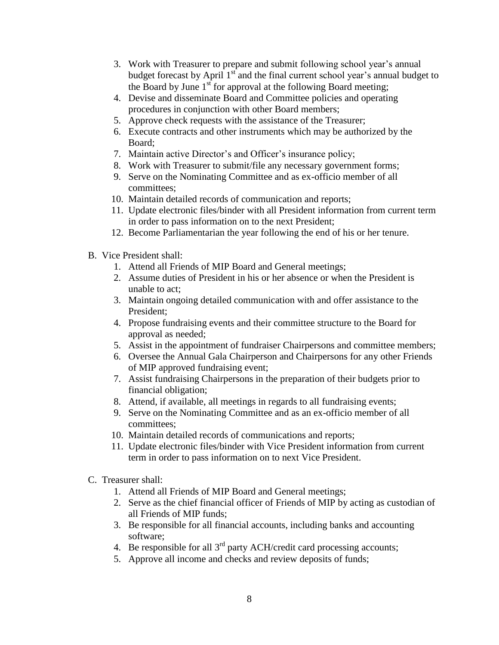- 3. Work with Treasurer to prepare and submit following school year's annual budget forecast by April  $1<sup>st</sup>$  and the final current school year's annual budget to the Board by June  $1<sup>st</sup>$  for approval at the following Board meeting;
- 4. Devise and disseminate Board and Committee policies and operating procedures in conjunction with other Board members;
- 5. Approve check requests with the assistance of the Treasurer;
- 6. Execute contracts and other instruments which may be authorized by the Board;
- 7. Maintain active Director's and Officer's insurance policy;
- 8. Work with Treasurer to submit/file any necessary government forms;
- 9. Serve on the Nominating Committee and as ex-officio member of all committees;
- 10. Maintain detailed records of communication and reports;
- 11. Update electronic files/binder with all President information from current term in order to pass information on to the next President;
- 12. Become Parliamentarian the year following the end of his or her tenure.
- B. Vice President shall:
	- 1. Attend all Friends of MIP Board and General meetings;
	- 2. Assume duties of President in his or her absence or when the President is unable to act;
	- 3. Maintain ongoing detailed communication with and offer assistance to the President;
	- 4. Propose fundraising events and their committee structure to the Board for approval as needed;
	- 5. Assist in the appointment of fundraiser Chairpersons and committee members;
	- 6. Oversee the Annual Gala Chairperson and Chairpersons for any other Friends of MIP approved fundraising event;
	- 7. Assist fundraising Chairpersons in the preparation of their budgets prior to financial obligation;
	- 8. Attend, if available, all meetings in regards to all fundraising events;
	- 9. Serve on the Nominating Committee and as an ex-officio member of all committees;
	- 10. Maintain detailed records of communications and reports;
	- 11. Update electronic files/binder with Vice President information from current term in order to pass information on to next Vice President.
- C. Treasurer shall:
	- 1. Attend all Friends of MIP Board and General meetings;
	- 2. Serve as the chief financial officer of Friends of MIP by acting as custodian of all Friends of MIP funds;
	- 3. Be responsible for all financial accounts, including banks and accounting software;
	- 4. Be responsible for all  $3<sup>rd</sup>$  party ACH/credit card processing accounts;
	- 5. Approve all income and checks and review deposits of funds;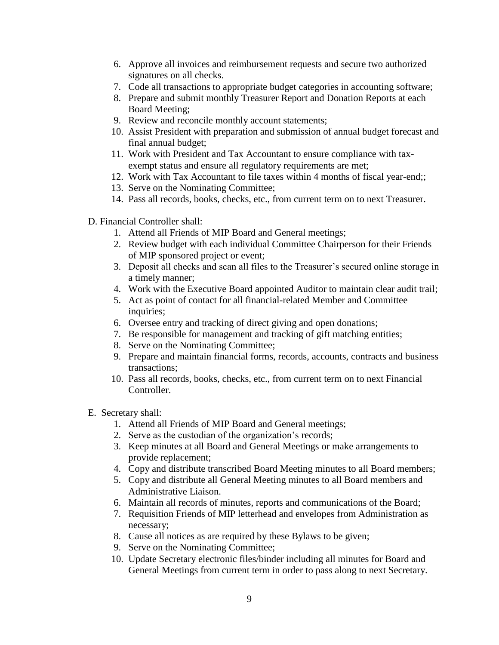- 6. Approve all invoices and reimbursement requests and secure two authorized signatures on all checks.
- 7. Code all transactions to appropriate budget categories in accounting software;
- 8. Prepare and submit monthly Treasurer Report and Donation Reports at each Board Meeting;
- 9. Review and reconcile monthly account statements;
- 10. Assist President with preparation and submission of annual budget forecast and final annual budget;
- 11. Work with President and Tax Accountant to ensure compliance with taxexempt status and ensure all regulatory requirements are met;
- 12. Work with Tax Accountant to file taxes within 4 months of fiscal year-end;;
- 13. Serve on the Nominating Committee;
- 14. Pass all records, books, checks, etc., from current term on to next Treasurer.
- D. Financial Controller shall:
	- 1. Attend all Friends of MIP Board and General meetings;
	- 2. Review budget with each individual Committee Chairperson for their Friends of MIP sponsored project or event;
	- 3. Deposit all checks and scan all files to the Treasurer's secured online storage in a timely manner;
	- 4. Work with the Executive Board appointed Auditor to maintain clear audit trail;
	- 5. Act as point of contact for all financial-related Member and Committee inquiries;
	- 6. Oversee entry and tracking of direct giving and open donations;
	- 7. Be responsible for management and tracking of gift matching entities;
	- 8. Serve on the Nominating Committee;
	- 9. Prepare and maintain financial forms, records, accounts, contracts and business transactions;
	- 10. Pass all records, books, checks, etc., from current term on to next Financial Controller.
- E. Secretary shall:
	- 1. Attend all Friends of MIP Board and General meetings;
	- 2. Serve as the custodian of the organization's records;
	- 3. Keep minutes at all Board and General Meetings or make arrangements to provide replacement;
	- 4. Copy and distribute transcribed Board Meeting minutes to all Board members;
	- 5. Copy and distribute all General Meeting minutes to all Board members and Administrative Liaison.
	- 6. Maintain all records of minutes, reports and communications of the Board;
	- 7. Requisition Friends of MIP letterhead and envelopes from Administration as necessary;
	- 8. Cause all notices as are required by these Bylaws to be given;
	- 9. Serve on the Nominating Committee;
	- 10. Update Secretary electronic files/binder including all minutes for Board and General Meetings from current term in order to pass along to next Secretary.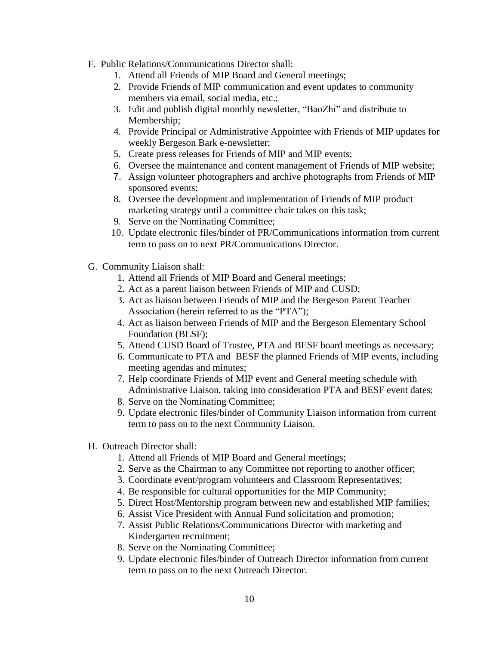- F. Public Relations/Communications Director shall:
	- 1. Attend all Friends of MIP Board and General meetings;
	- 2. Provide Friends of MIP communication and event updates to community members via email, social media, etc.;
	- 3. Edit and publish digital monthly newsletter, "BaoZhi" and distribute to Membership;
	- 4. Provide Principal or Administrative Appointee with Friends of MIP updates for weekly Bergeson Bark e-newsletter;
	- 5. Create press releases for Friends of MIP and MIP events;
	- 6. Oversee the maintenance and content management of Friends of MIP website;
	- 7. Assign volunteer photographers and archive photographs from Friends of MIP sponsored events;
	- 8. Oversee the development and implementation of Friends of MIP product marketing strategy until a committee chair takes on this task;
	- 9. Serve on the Nominating Committee;
	- 10. Update electronic files/binder of PR/Communications information from current term to pass on to next PR/Communications Director.
- G. Community Liaison shall:
	- 1. Attend all Friends of MIP Board and General meetings;
	- 2. Act as a parent liaison between Friends of MIP and CUSD;
	- 3. Act as liaison between Friends of MIP and the Bergeson Parent Teacher Association (herein referred to as the "PTA");
	- 4. Act as liaison between Friends of MIP and the Bergeson Elementary School Foundation (BESF);
	- 5. Attend CUSD Board of Trustee, PTA and BESF board meetings as necessary;
	- 6. Communicate to PTA and BESF the planned Friends of MIP events, including meeting agendas and minutes;
	- 7. Help coordinate Friends of MIP event and General meeting schedule with Administrative Liaison, taking into consideration PTA and BESF event dates;
	- 8. Serve on the Nominating Committee;
	- 9. Update electronic files/binder of Community Liaison information from current term to pass on to the next Community Liaison.
- H. Outreach Director shall:
	- 1. Attend all Friends of MIP Board and General meetings;
	- 2. Serve as the Chairman to any Committee not reporting to another officer;
	- 3. Coordinate event/program volunteers and Classroom Representatives;
	- 4. Be responsible for cultural opportunities for the MIP Community;
	- 5. Direct Host/Mentorship program between new and established MIP families;
	- 6. Assist Vice President with Annual Fund solicitation and promotion;
	- 7. Assist Public Relations/Communications Director with marketing and Kindergarten recruitment;
	- 8. Serve on the Nominating Committee;
	- 9. Update electronic files/binder of Outreach Director information from current term to pass on to the next Outreach Director.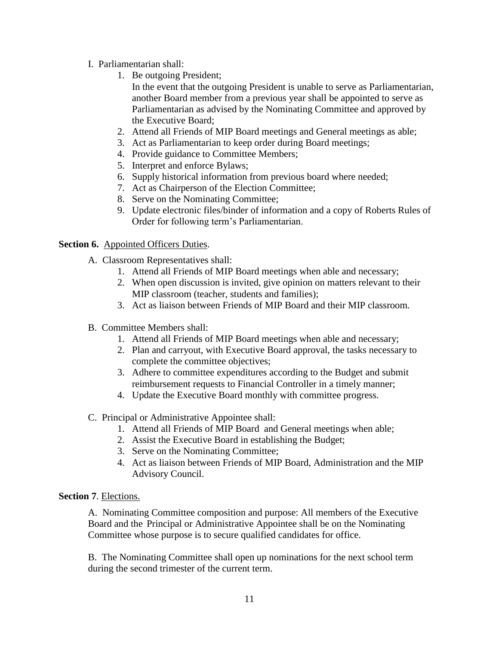- I. Parliamentarian shall:
	- 1. Be outgoing President;

In the event that the outgoing President is unable to serve as Parliamentarian, another Board member from a previous year shall be appointed to serve as Parliamentarian as advised by the Nominating Committee and approved by the Executive Board;

- 2. Attend all Friends of MIP Board meetings and General meetings as able;
- 3. Act as Parliamentarian to keep order during Board meetings;
- 4. Provide guidance to Committee Members;
- 5. Interpret and enforce Bylaws;
- 6. Supply historical information from previous board where needed;
- 7. Act as Chairperson of the Election Committee;
- 8. Serve on the Nominating Committee;
- 9. Update electronic files/binder of information and a copy of Roberts Rules of Order for following term's Parliamentarian.

## **Section 6.** Appointed Officers Duties.

- A. Classroom Representatives shall:
	- 1. Attend all Friends of MIP Board meetings when able and necessary;
	- 2. When open discussion is invited, give opinion on matters relevant to their MIP classroom (teacher, students and families);
	- 3. Act as liaison between Friends of MIP Board and their MIP classroom.
- B. Committee Members shall:
	- 1. Attend all Friends of MIP Board meetings when able and necessary;
	- 2. Plan and carryout, with Executive Board approval, the tasks necessary to complete the committee objectives;
	- 3. Adhere to committee expenditures according to the Budget and submit reimbursement requests to Financial Controller in a timely manner;
	- 4. Update the Executive Board monthly with committee progress.
- C. Principal or Administrative Appointee shall:
	- 1. Attend all Friends of MIP Board and General meetings when able;
	- 2. Assist the Executive Board in establishing the Budget;
	- 3. Serve on the Nominating Committee;
	- 4. Act as liaison between Friends of MIP Board, Administration and the MIP Advisory Council.

## **Section 7**. Elections.

A. Nominating Committee composition and purpose: All members of the Executive Board and the Principal or Administrative Appointee shall be on the Nominating Committee whose purpose is to secure qualified candidates for office.

B. The Nominating Committee shall open up nominations for the next school term during the second trimester of the current term.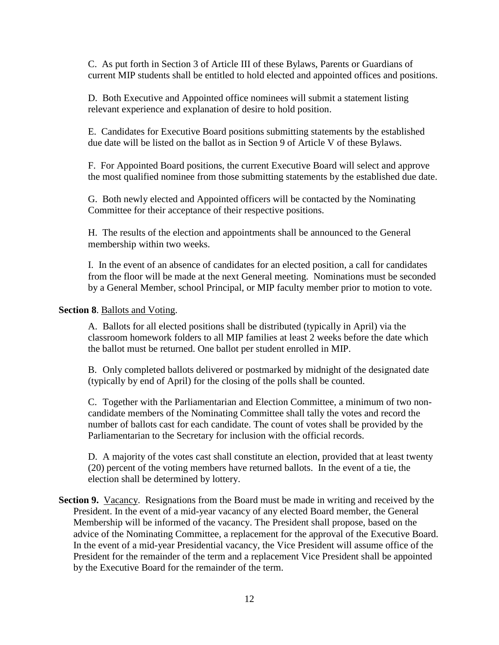C. As put forth in Section 3 of Article III of these Bylaws, Parents or Guardians of current MIP students shall be entitled to hold elected and appointed offices and positions.

D. Both Executive and Appointed office nominees will submit a statement listing relevant experience and explanation of desire to hold position.

E. Candidates for Executive Board positions submitting statements by the established due date will be listed on the ballot as in Section 9 of Article V of these Bylaws.

F. For Appointed Board positions, the current Executive Board will select and approve the most qualified nominee from those submitting statements by the established due date.

G. Both newly elected and Appointed officers will be contacted by the Nominating Committee for their acceptance of their respective positions.

H. The results of the election and appointments shall be announced to the General membership within two weeks.

I. In the event of an absence of candidates for an elected position, a call for candidates from the floor will be made at the next General meeting. Nominations must be seconded by a General Member, school Principal, or MIP faculty member prior to motion to vote.

### **Section 8**. Ballots and Voting.

A. Ballots for all elected positions shall be distributed (typically in April) via the classroom homework folders to all MIP families at least 2 weeks before the date which the ballot must be returned. One ballot per student enrolled in MIP.

B. Only completed ballots delivered or postmarked by midnight of the designated date (typically by end of April) for the closing of the polls shall be counted.

C. Together with the Parliamentarian and Election Committee, a minimum of two noncandidate members of the Nominating Committee shall tally the votes and record the number of ballots cast for each candidate. The count of votes shall be provided by the Parliamentarian to the Secretary for inclusion with the official records.

D. A majority of the votes cast shall constitute an election, provided that at least twenty (20) percent of the voting members have returned ballots. In the event of a tie, the election shall be determined by lottery.

**Section 9.** Vacancy. Resignations from the Board must be made in writing and received by the President. In the event of a mid-year vacancy of any elected Board member, the General Membership will be informed of the vacancy. The President shall propose, based on the advice of the Nominating Committee, a replacement for the approval of the Executive Board. In the event of a mid-year Presidential vacancy, the Vice President will assume office of the President for the remainder of the term and a replacement Vice President shall be appointed by the Executive Board for the remainder of the term.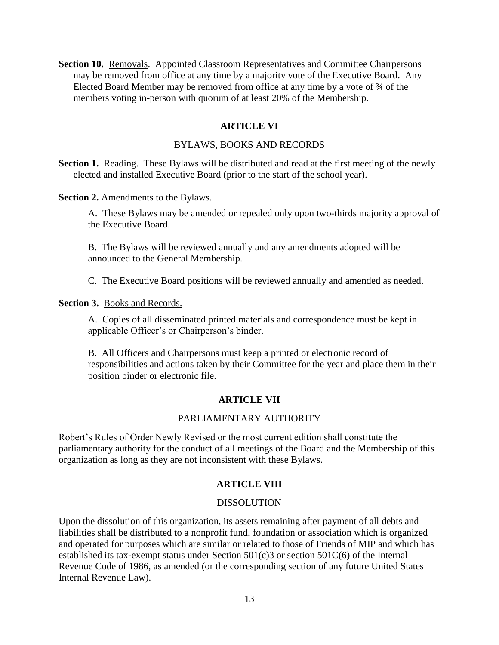**Section 10.** Removals. Appointed Classroom Representatives and Committee Chairpersons may be removed from office at any time by a majority vote of the Executive Board. Any Elected Board Member may be removed from office at any time by a vote of ¾ of the members voting in-person with quorum of at least 20% of the Membership.

## **ARTICLE VI**

#### BYLAWS, BOOKS AND RECORDS

**Section 1.** Reading. These Bylaws will be distributed and read at the first meeting of the newly elected and installed Executive Board (prior to the start of the school year).

#### **Section 2.** Amendments to the Bylaws.

A. These Bylaws may be amended or repealed only upon two-thirds majority approval of the Executive Board.

B. The Bylaws will be reviewed annually and any amendments adopted will be announced to the General Membership.

C. The Executive Board positions will be reviewed annually and amended as needed.

**Section 3.** Books and Records.

A. Copies of all disseminated printed materials and correspondence must be kept in applicable Officer's or Chairperson's binder.

B. All Officers and Chairpersons must keep a printed or electronic record of responsibilities and actions taken by their Committee for the year and place them in their position binder or electronic file.

#### **ARTICLE VII**

### PARLIAMENTARY AUTHORITY

Robert's Rules of Order Newly Revised or the most current edition shall constitute the parliamentary authority for the conduct of all meetings of the Board and the Membership of this organization as long as they are not inconsistent with these Bylaws.

### **ARTICLE VIII**

#### DISSOLUTION

Upon the dissolution of this organization, its assets remaining after payment of all debts and liabilities shall be distributed to a nonprofit fund, foundation or association which is organized and operated for purposes which are similar or related to those of Friends of MIP and which has established its tax-exempt status under Section 501(c)3 or section 501C(6) of the Internal Revenue Code of 1986, as amended (or the corresponding section of any future United States Internal Revenue Law).